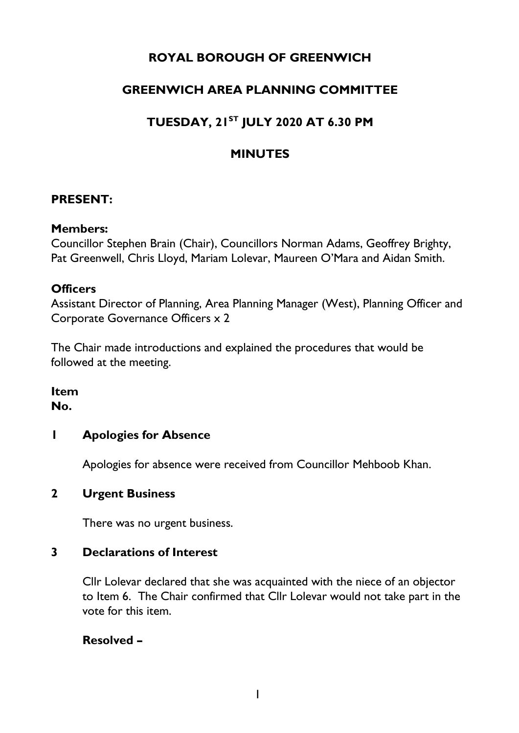# **ROYAL BOROUGH OF GREENWICH**

# **GREENWICH AREA PLANNING COMMITTEE**

# **TUESDAY, 21ST JULY 2020 AT 6.30 PM**

# **MINUTES**

### **PRESENT:**

#### **Members:**

Councillor Stephen Brain (Chair), Councillors Norman Adams, Geoffrey Brighty, Pat Greenwell, Chris Lloyd, Mariam Lolevar, Maureen O'Mara and Aidan Smith.

#### **Officers**

Assistant Director of Planning, Area Planning Manager (West), Planning Officer and Corporate Governance Officers x 2

The Chair made introductions and explained the procedures that would be followed at the meeting.

#### **Item No.**

## **1 Apologies for Absence**

Apologies for absence were received from Councillor Mehboob Khan.

### **2 Urgent Business**

There was no urgent business.

### **3 Declarations of Interest**

Cllr Lolevar declared that she was acquainted with the niece of an objector to Item 6. The Chair confirmed that Cllr Lolevar would not take part in the vote for this item.

### **Resolved –**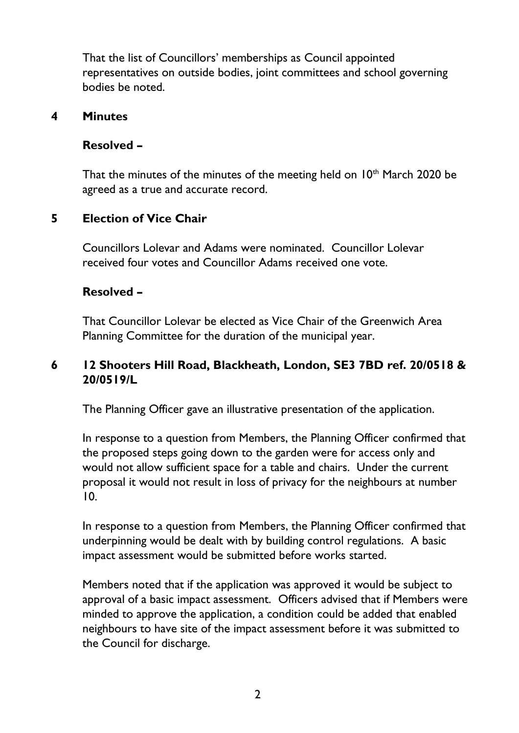That the list of Councillors' memberships as Council appointed representatives on outside bodies, joint committees and school governing bodies be noted.

#### **4 Minutes**

### **Resolved –**

That the minutes of the minutes of the meeting held on 10<sup>th</sup> March 2020 be agreed as a true and accurate record.

### **5 Election of Vice Chair**

Councillors Lolevar and Adams were nominated. Councillor Lolevar received four votes and Councillor Adams received one vote.

### **Resolved –**

That Councillor Lolevar be elected as Vice Chair of the Greenwich Area Planning Committee for the duration of the municipal year.

## **6 [12 Shooters Hill Road, Blackheath, London, SE3 7BD ref. 20/0518 &](https://committees.royalgreenwich.gov.uk/Document.ashx?czJKcaeAi5tUFL1DTL2UE4zNRBcoShgo=X%2byBVRzAkPS6iR37%2faw2RMrAOjO2DneyO7mmVQ5ja8wBZRs2eGQgpQ%3d%3d&rUzwRPf%2bZ3zd4E7Ikn8Lyw%3d%3d=pwRE6AGJFLDNlh225F5QMaQWCtPHwdhUfCZ%2fLUQzgA2uL5jNRG4jdQ%3d%3d&mCTIbCubSFfXsDGW9IXnlg%3d%3d=jUgQCaU3L68%3d&kCx1AnS9%2fpWZQ40DXFvdEw%3d%3d=SiNZFNTpd44%3d&uJovDxwdjMPoYv%2bAJvYtyA%3d%3d=ctNJFf55vVA%3d&FgPlIEJYlotS%2bYGoBi5olA%3d%3d=NHdURQburHA%3d&d9Qjj0ag1Pd993jsyOJqFvmyB7X0CSQK=ctNJFf55vVA%3d&WGewmoAfeNR9xqBux0r1Q8Za60lavYmz=ctNJFf55vVA%3d&WGewmoAfeNQ16B2MHuCpMRKZMwaG1PaO=ctNJFf55vVA%3d)  [20/0519/L](https://committees.royalgreenwich.gov.uk/Document.ashx?czJKcaeAi5tUFL1DTL2UE4zNRBcoShgo=X%2byBVRzAkPS6iR37%2faw2RMrAOjO2DneyO7mmVQ5ja8wBZRs2eGQgpQ%3d%3d&rUzwRPf%2bZ3zd4E7Ikn8Lyw%3d%3d=pwRE6AGJFLDNlh225F5QMaQWCtPHwdhUfCZ%2fLUQzgA2uL5jNRG4jdQ%3d%3d&mCTIbCubSFfXsDGW9IXnlg%3d%3d=jUgQCaU3L68%3d&kCx1AnS9%2fpWZQ40DXFvdEw%3d%3d=SiNZFNTpd44%3d&uJovDxwdjMPoYv%2bAJvYtyA%3d%3d=ctNJFf55vVA%3d&FgPlIEJYlotS%2bYGoBi5olA%3d%3d=NHdURQburHA%3d&d9Qjj0ag1Pd993jsyOJqFvmyB7X0CSQK=ctNJFf55vVA%3d&WGewmoAfeNR9xqBux0r1Q8Za60lavYmz=ctNJFf55vVA%3d&WGewmoAfeNQ16B2MHuCpMRKZMwaG1PaO=ctNJFf55vVA%3d)**

The Planning Officer gave an illustrative presentation of the application.

In response to a question from Members, the Planning Officer confirmed that the proposed steps going down to the garden were for access only and would not allow sufficient space for a table and chairs. Under the current proposal it would not result in loss of privacy for the neighbours at number 10.

In response to a question from Members, the Planning Officer confirmed that underpinning would be dealt with by building control regulations. A basic impact assessment would be submitted before works started.

Members noted that if the application was approved it would be subject to approval of a basic impact assessment. Officers advised that if Members were minded to approve the application, a condition could be added that enabled neighbours to have site of the impact assessment before it was submitted to the Council for discharge.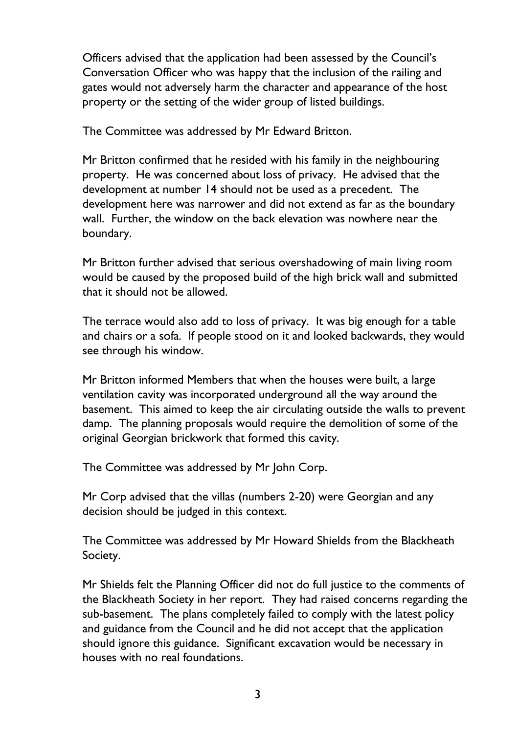Officers advised that the application had been assessed by the Council's Conversation Officer who was happy that the inclusion of the railing and gates would not adversely harm the character and appearance of the host property or the setting of the wider group of listed buildings.

The Committee was addressed by Mr Edward Britton.

Mr Britton confirmed that he resided with his family in the neighbouring property. He was concerned about loss of privacy. He advised that the development at number 14 should not be used as a precedent. The development here was narrower and did not extend as far as the boundary wall. Further, the window on the back elevation was nowhere near the boundary.

Mr Britton further advised that serious overshadowing of main living room would be caused by the proposed build of the high brick wall and submitted that it should not be allowed.

The terrace would also add to loss of privacy. It was big enough for a table and chairs or a sofa. If people stood on it and looked backwards, they would see through his window.

Mr Britton informed Members that when the houses were built, a large ventilation cavity was incorporated underground all the way around the basement. This aimed to keep the air circulating outside the walls to prevent damp. The planning proposals would require the demolition of some of the original Georgian brickwork that formed this cavity.

The Committee was addressed by Mr John Corp.

Mr Corp advised that the villas (numbers 2-20) were Georgian and any decision should be judged in this context.

The Committee was addressed by Mr Howard Shields from the Blackheath Society.

Mr Shields felt the Planning Officer did not do full justice to the comments of the Blackheath Society in her report. They had raised concerns regarding the sub-basement. The plans completely failed to comply with the latest policy and guidance from the Council and he did not accept that the application should ignore this guidance. Significant excavation would be necessary in houses with no real foundations.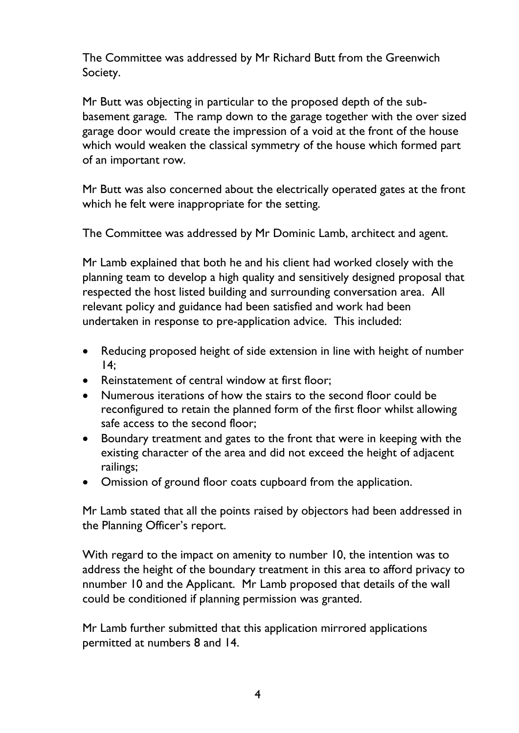The Committee was addressed by Mr Richard Butt from the Greenwich Society.

Mr Butt was objecting in particular to the proposed depth of the subbasement garage. The ramp down to the garage together with the over sized garage door would create the impression of a void at the front of the house which would weaken the classical symmetry of the house which formed part of an important row.

Mr Butt was also concerned about the electrically operated gates at the front which he felt were inappropriate for the setting.

The Committee was addressed by Mr Dominic Lamb, architect and agent.

Mr Lamb explained that both he and his client had worked closely with the planning team to develop a high quality and sensitively designed proposal that respected the host listed building and surrounding conversation area. All relevant policy and guidance had been satisfied and work had been undertaken in response to pre-application advice. This included:

- Reducing proposed height of side extension in line with height of number  $14$ :
- Reinstatement of central window at first floor;
- Numerous iterations of how the stairs to the second floor could be reconfigured to retain the planned form of the first floor whilst allowing safe access to the second floor;
- Boundary treatment and gates to the front that were in keeping with the existing character of the area and did not exceed the height of adjacent railings;
- Omission of ground floor coats cupboard from the application.

Mr Lamb stated that all the points raised by objectors had been addressed in the Planning Officer's report.

With regard to the impact on amenity to number 10, the intention was to address the height of the boundary treatment in this area to afford privacy to nnumber 10 and the Applicant. Mr Lamb proposed that details of the wall could be conditioned if planning permission was granted.

Mr Lamb further submitted that this application mirrored applications permitted at numbers 8 and 14.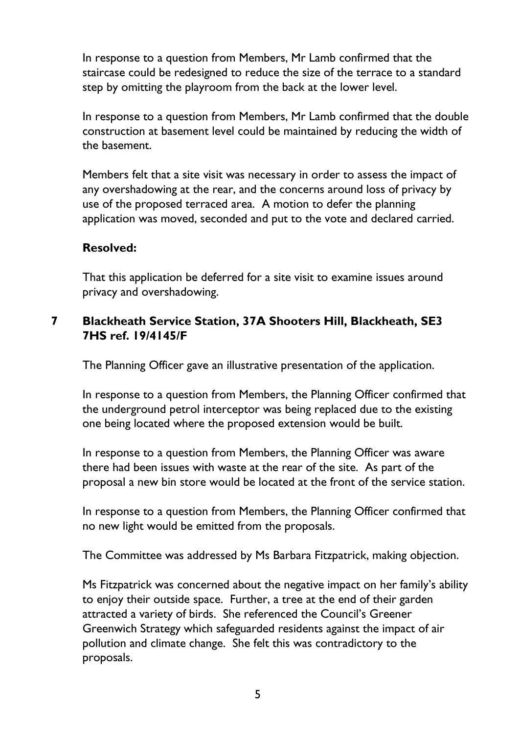In response to a question from Members, Mr Lamb confirmed that the staircase could be redesigned to reduce the size of the terrace to a standard step by omitting the playroom from the back at the lower level.

In response to a question from Members, Mr Lamb confirmed that the double construction at basement level could be maintained by reducing the width of the basement.

Members felt that a site visit was necessary in order to assess the impact of any overshadowing at the rear, and the concerns around loss of privacy by use of the proposed terraced area. A motion to defer the planning application was moved, seconded and put to the vote and declared carried.

#### **Resolved:**

That this application be deferred for a site visit to examine issues around privacy and overshadowing.

#### **7 [Blackheath](https://committees.royalgreenwich.gov.uk/Document.ashx?czJKcaeAi5tUFL1DTL2UE4zNRBcoShgo=X%2byBVRzAkPS6iR37%2faw2RMrAOjO2DneyO7mmVQ5ja8wBZRs2eGQgpQ%3d%3d&rUzwRPf%2bZ3zd4E7Ikn8Lyw%3d%3d=pwRE6AGJFLDNlh225F5QMaQWCtPHwdhUfCZ%2fLUQzgA2uL5jNRG4jdQ%3d%3d&mCTIbCubSFfXsDGW9IXnlg%3d%3d=jUgQCaU3L68%3d&kCx1AnS9%2fpWZQ40DXFvdEw%3d%3d=SiNZFNTpd44%3d&uJovDxwdjMPoYv%2bAJvYtyA%3d%3d=ctNJFf55vVA%3d&FgPlIEJYlotS%2bYGoBi5olA%3d%3d=NHdURQburHA%3d&d9Qjj0ag1Pd993jsyOJqFvmyB7X0CSQK=ctNJFf55vVA%3d&WGewmoAfeNR9xqBux0r1Q8Za60lavYmz=ctNJFf55vVA%3d&WGewmoAfeNQ16B2MHuCpMRKZMwaG1PaO=ctNJFf55vVA%3d) Service Station, 37A Shooters Hill, Blackheath, SE3 7HS ref. 19/4145/F**

The Planning Officer gave an illustrative presentation of the application.

In response to a question from Members, the Planning Officer confirmed that the underground petrol interceptor was being replaced due to the existing one being located where the proposed extension would be built.

In response to a question from Members, the Planning Officer was aware there had been issues with waste at the rear of the site. As part of the proposal a new bin store would be located at the front of the service station.

In response to a question from Members, the Planning Officer confirmed that no new light would be emitted from the proposals.

The Committee was addressed by Ms Barbara Fitzpatrick, making objection.

Ms Fitzpatrick was concerned about the negative impact on her family's ability to enjoy their outside space. Further, a tree at the end of their garden attracted a variety of birds. She referenced the Council's Greener Greenwich Strategy which safeguarded residents against the impact of air pollution and climate change. She felt this was contradictory to the proposals.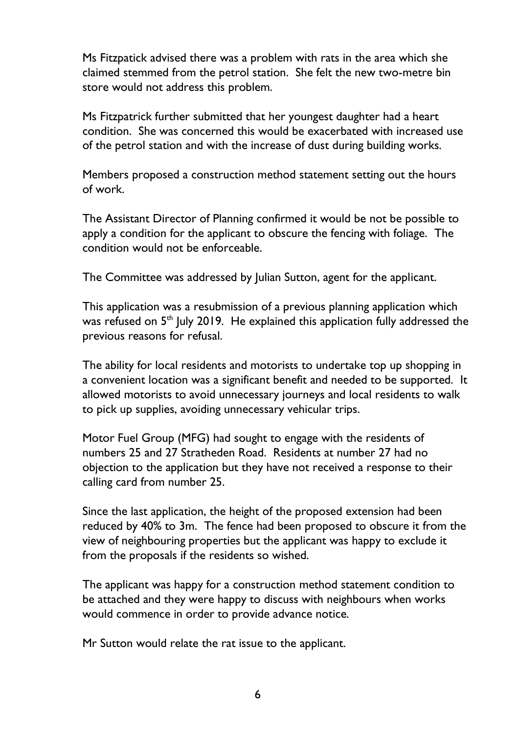Ms Fitzpatick advised there was a problem with rats in the area which she claimed stemmed from the petrol station. She felt the new two-metre bin store would not address this problem.

Ms Fitzpatrick further submitted that her youngest daughter had a heart condition. She was concerned this would be exacerbated with increased use of the petrol station and with the increase of dust during building works.

Members proposed a construction method statement setting out the hours of work.

The Assistant Director of Planning confirmed it would be not be possible to apply a condition for the applicant to obscure the fencing with foliage. The condition would not be enforceable.

The Committee was addressed by Julian Sutton, agent for the applicant.

This application was a resubmission of a previous planning application which was refused on 5<sup>th</sup> July 2019. He explained this application fully addressed the previous reasons for refusal.

The ability for local residents and motorists to undertake top up shopping in a convenient location was a significant benefit and needed to be supported. It allowed motorists to avoid unnecessary journeys and local residents to walk to pick up supplies, avoiding unnecessary vehicular trips.

Motor Fuel Group (MFG) had sought to engage with the residents of numbers 25 and 27 Stratheden Road. Residents at number 27 had no objection to the application but they have not received a response to their calling card from number 25.

Since the last application, the height of the proposed extension had been reduced by 40% to 3m. The fence had been proposed to obscure it from the view of neighbouring properties but the applicant was happy to exclude it from the proposals if the residents so wished.

The applicant was happy for a construction method statement condition to be attached and they were happy to discuss with neighbours when works would commence in order to provide advance notice.

Mr Sutton would relate the rat issue to the applicant.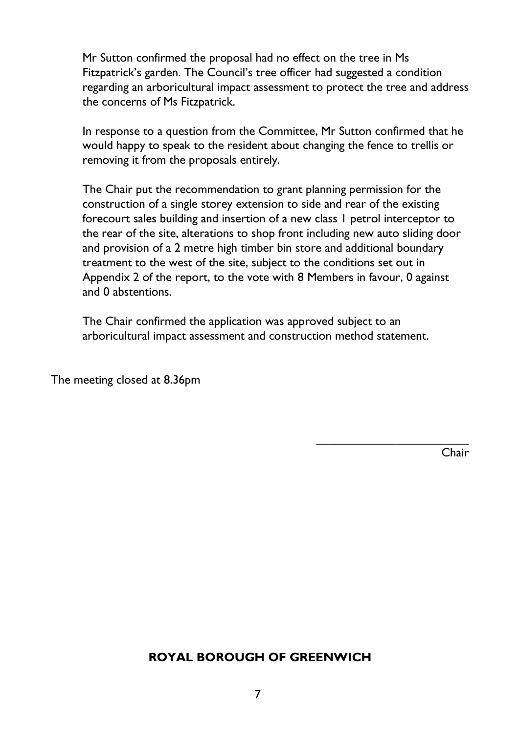Mr Sutton confirmed the proposal had no effect on the tree in Ms Fitzpatrick's garden. The Council's tree officer had suggested a condition regarding an arboricultural impact assessment to protect the tree and address the concerns of Ms Fitzpatrick.

In response to a question from the Committee, Mr Sutton confirmed that he would happy to speak to the resident about changing the fence to trellis or removing it from the proposals entirely.

The Chair put the recommendation to grant planning permission for the construction of a single storey extension to side and rear of the existing forecourt sales building and insertion of a new class 1 petrol interceptor to the rear of the site, alterations to shop front including new auto sliding door and provision of a 2 metre high timber bin store and additional boundary treatment to the west of the site, subject to the conditions set out in Appendix 2 of the report, to the vote with 8 Members in favour, 0 against and 0 abstentions.

The Chair confirmed the application was approved subject to an arboricultural impact assessment and construction method statement.

The meeting closed at 8.36pm

Chair

 $\mathcal{L}_\text{max}$ 

### **ROYAL BOROUGH OF GREENWICH**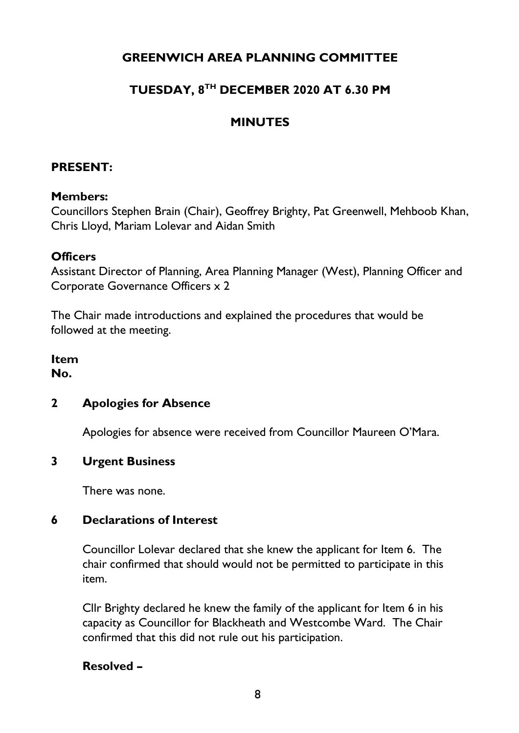# **GREENWICH AREA PLANNING COMMITTEE**

# **TUESDAY, 8TH DECEMBER 2020 AT 6.30 PM**

## **MINUTES**

#### **PRESENT:**

#### **Members:**

Councillors Stephen Brain (Chair), Geoffrey Brighty, Pat Greenwell, Mehboob Khan, Chris Lloyd, Mariam Lolevar and Aidan Smith

#### **Officers**

Assistant Director of Planning, Area Planning Manager (West), Planning Officer and Corporate Governance Officers x 2

The Chair made introductions and explained the procedures that would be followed at the meeting.

**Item No.** 

#### **2 Apologies for Absence**

Apologies for absence were received from Councillor Maureen O'Mara.

#### **3 Urgent Business**

There was none.

#### **6 Declarations of Interest**

Councillor Lolevar declared that she knew the applicant for Item 6. The chair confirmed that should would not be permitted to participate in this item.

Cllr Brighty declared he knew the family of the applicant for Item 6 in his capacity as Councillor for Blackheath and Westcombe Ward. The Chair confirmed that this did not rule out his participation.

#### **Resolved –**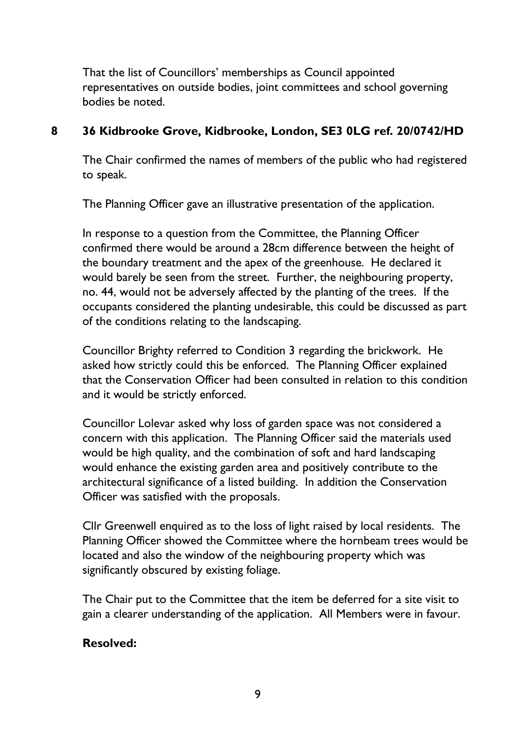That the list of Councillors' memberships as Council appointed representatives on outside bodies, joint committees and school governing bodies be noted.

### **8 36 Kidbrooke Grove, Kidbrooke, London, SE3 0LG ref. 20/0742/HD**

The Chair confirmed the names of members of the public who had registered to speak.

The Planning Officer gave an illustrative presentation of the application.

In response to a question from the Committee, the Planning Officer confirmed there would be around a 28cm difference between the height of the boundary treatment and the apex of the greenhouse. He declared it would barely be seen from the street. Further, the neighbouring property, no. 44, would not be adversely affected by the planting of the trees. If the occupants considered the planting undesirable, this could be discussed as part of the conditions relating to the landscaping.

Councillor Brighty referred to Condition 3 regarding the brickwork. He asked how strictly could this be enforced. The Planning Officer explained that the Conservation Officer had been consulted in relation to this condition and it would be strictly enforced.

Councillor Lolevar asked why loss of garden space was not considered a concern with this application. The Planning Officer said the materials used would be high quality, and the combination of soft and hard landscaping would enhance the existing garden area and positively contribute to the architectural significance of a listed building. In addition the Conservation Officer was satisfied with the proposals.

Cllr Greenwell enquired as to the loss of light raised by local residents. The Planning Officer showed the Committee where the hornbeam trees would be located and also the window of the neighbouring property which was significantly obscured by existing foliage.

The Chair put to the Committee that the item be deferred for a site visit to gain a clearer understanding of the application. All Members were in favour.

#### **Resolved:**